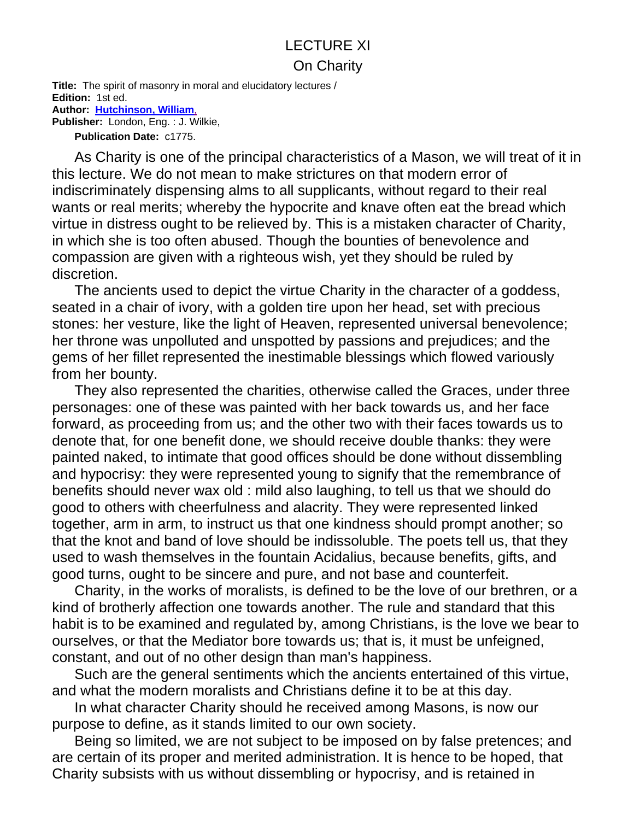## LECTURE XI On Charity

**Title:** The spirit of masonry in moral and elucidatory lectures / **Edition:** 1st ed. **Author: Hutchinson, William**, **Publisher:** London, Eng. : J. Wilkie,

**Publication Date:** c1775.

As Charity is one of the principal characteristics of a Mason, we will treat of it in this lecture. We do not mean to make strictures on that modern error of indiscriminately dispensing alms to all supplicants, without regard to their real wants or real merits; whereby the hypocrite and knave often eat the bread which virtue in distress ought to be relieved by. This is a mistaken character of Charity, in which she is too often abused. Though the bounties of benevolence and compassion are given with a righteous wish, yet they should be ruled by discretion.

The ancients used to depict the virtue Charity in the character of a goddess, seated in a chair of ivory, with a golden tire upon her head, set with precious stones: her vesture, like the light of Heaven, represented universal benevolence; her throne was unpolluted and unspotted by passions and prejudices; and the gems of her fillet represented the inestimable blessings which flowed variously from her bounty.

They also represented the charities, otherwise called the Graces, under three personages: one of these was painted with her back towards us, and her face forward, as proceeding from us; and the other two with their faces towards us to denote that, for one benefit done, we should receive double thanks: they were painted naked, to intimate that good offices should be done without dissembling and hypocrisy: they were represented young to signify that the remembrance of benefits should never wax old : mild also laughing, to tell us that we should do good to others with cheerfulness and alacrity. They were represented linked together, arm in arm, to instruct us that one kindness should prompt another; so that the knot and band of love should be indissoluble. The poets tell us, that they used to wash themselves in the fountain Acidalius, because benefits, gifts, and good turns, ought to be sincere and pure, and not base and counterfeit.

Charity, in the works of moralists, is defined to be the love of our brethren, or a kind of brotherly affection one towards another. The rule and standard that this habit is to be examined and regulated by, among Christians, is the love we bear to ourselves, or that the Mediator bore towards us; that is, it must be unfeigned, constant, and out of no other design than man's happiness.

Such are the general sentiments which the ancients entertained of this virtue, and what the modern moralists and Christians define it to be at this day.

In what character Charity should he received among Masons, is now our purpose to define, as it stands limited to our own society.

Being so limited, we are not subject to be imposed on by false pretences; and are certain of its proper and merited administration. It is hence to be hoped, that Charity subsists with us without dissembling or hypocrisy, and is retained in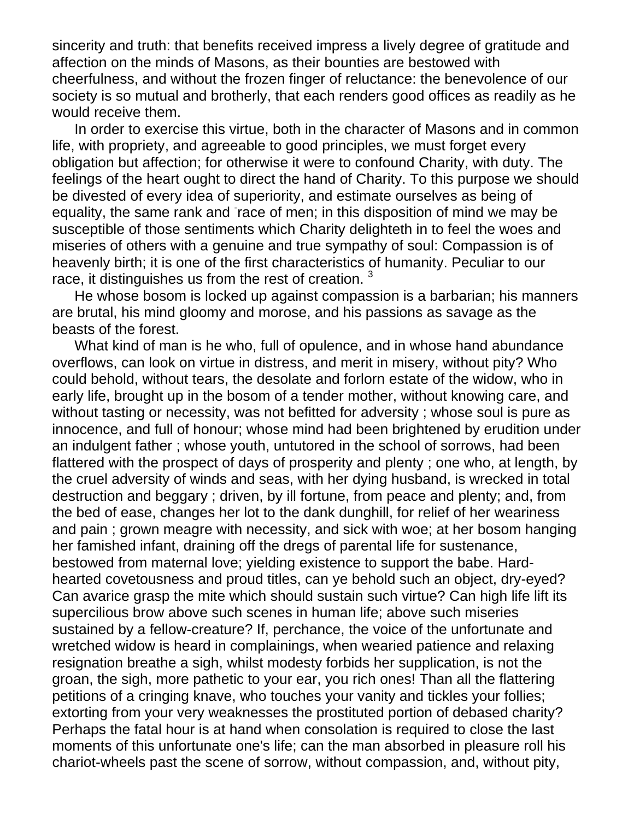sincerity and truth: that benefits received impress a lively degree of gratitude and affection on the minds of Masons, as their bounties are bestowed with cheerfulness, and without the frozen finger of reluctance: the benevolence of our society is so mutual and brotherly, that each renders good offices as readily as he would receive them.

In order to exercise this virtue, both in the character of Masons and in common life, with propriety, and agreeable to good principles, we must forget every obligation but affection; for otherwise it were to confound Charity, with duty. The feelings of the heart ought to direct the hand of Charity. To this purpose we should be divested of every idea of superiority, and estimate ourselves as being of equality, the same rank and race of men; in this disposition of mind we may be susceptible of those sentiments which Charity delighteth in to feel the woes and miseries of others with a genuine and true sympathy of soul: Compassion is of heavenly birth; it is one of the first characteristics of humanity. Peculiar to our race, it distinguishes us from the rest of creation.<sup>3</sup>

He whose bosom is locked up against compassion is a barbarian; his manners are brutal, his mind gloomy and morose, and his passions as savage as the beasts of the forest.

What kind of man is he who, full of opulence, and in whose hand abundance overflows, can look on virtue in distress, and merit in misery, without pity? Who could behold, without tears, the desolate and forlorn estate of the widow, who in early life, brought up in the bosom of a tender mother, without knowing care, and without tasting or necessity, was not befitted for adversity ; whose soul is pure as innocence, and full of honour; whose mind had been brightened by erudition under an indulgent father ; whose youth, untutored in the school of sorrows, had been flattered with the prospect of days of prosperity and plenty ; one who, at length, by the cruel adversity of winds and seas, with her dying husband, is wrecked in total destruction and beggary ; driven, by ill fortune, from peace and plenty; and, from the bed of ease, changes her lot to the dank dunghill, for relief of her weariness and pain ; grown meagre with necessity, and sick with woe; at her bosom hanging her famished infant, draining off the dregs of parental life for sustenance, bestowed from maternal love; yielding existence to support the babe. Hardhearted covetousness and proud titles, can ye behold such an object, dry-eyed? Can avarice grasp the mite which should sustain such virtue? Can high life lift its supercilious brow above such scenes in human life; above such miseries sustained by a fellow-creature? If, perchance, the voice of the unfortunate and wretched widow is heard in complainings, when wearied patience and relaxing resignation breathe a sigh, whilst modesty forbids her supplication, is not the groan, the sigh, more pathetic to your ear, you rich ones! Than all the flattering petitions of a cringing knave, who touches your vanity and tickles your follies; extorting from your very weaknesses the prostituted portion of debased charity? Perhaps the fatal hour is at hand when consolation is required to close the last moments of this unfortunate one's life; can the man absorbed in pleasure roll his chariot-wheels past the scene of sorrow, without compassion, and, without pity,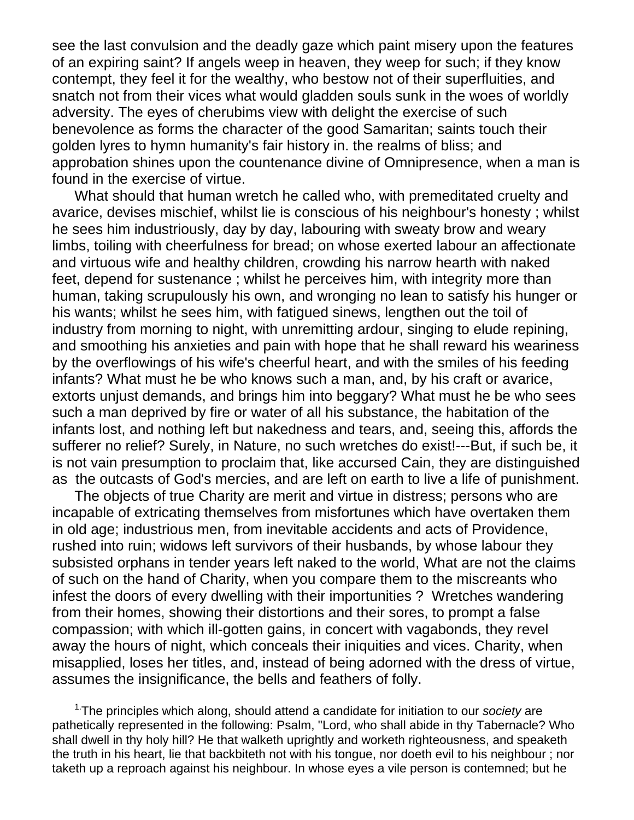see the last convulsion and the deadly gaze which paint misery upon the features of an expiring saint? If angels weep in heaven, they weep for such; if they know contempt, they feel it for the wealthy, who bestow not of their superfluities, and snatch not from their vices what would gladden souls sunk in the woes of worldly adversity. The eyes of cherubims view with delight the exercise of such benevolence as forms the character of the good Samaritan; saints touch their golden lyres to hymn humanity's fair history in. the realms of bliss; and approbation shines upon the countenance divine of Omnipresence, when a man is found in the exercise of virtue.

What should that human wretch he called who, with premeditated cruelty and avarice, devises mischief, whilst lie is conscious of his neighbour's honesty ; whilst he sees him industriously, day by day, labouring with sweaty brow and weary limbs, toiling with cheerfulness for bread; on whose exerted labour an affectionate and virtuous wife and healthy children, crowding his narrow hearth with naked feet, depend for sustenance ; whilst he perceives him, with integrity more than human, taking scrupulously his own, and wronging no lean to satisfy his hunger or his wants; whilst he sees him, with fatigued sinews, lengthen out the toil of industry from morning to night, with unremitting ardour, singing to elude repining, and smoothing his anxieties and pain with hope that he shall reward his weariness by the overflowings of his wife's cheerful heart, and with the smiles of his feeding infants? What must he be who knows such a man, and, by his craft or avarice, extorts unjust demands, and brings him into beggary? What must he be who sees such a man deprived by fire or water of all his substance, the habitation of the infants lost, and nothing left but nakedness and tears, and, seeing this, affords the sufferer no relief? Surely, in Nature, no such wretches do exist!---But, if such be, it is not vain presumption to proclaim that, like accursed Cain, they are distinguished as the outcasts of God's mercies, and are left on earth to live a life of punishment.

The objects of true Charity are merit and virtue in distress; persons who are incapable of extricating themselves from misfortunes which have overtaken them in old age; industrious men, from inevitable accidents and acts of Providence, rushed into ruin; widows left survivors of their husbands, by whose labour they subsisted orphans in tender years left naked to the world, What are not the claims of such on the hand of Charity, when you compare them to the miscreants who infest the doors of every dwelling with their importunities ? Wretches wandering from their homes, showing their distortions and their sores, to prompt a false compassion; with which ill-gotten gains, in concert with vagabonds, they revel away the hours of night, which conceals their iniquities and vices. Charity, when misapplied, loses her titles, and, instead of being adorned with the dress of virtue, assumes the insignificance, the bells and feathers of folly.

1.The principles which along, should attend a candidate for initiation to our *society* are pathetically represented in the following: Psalm, "Lord, who shall abide in thy Tabernacle? Who shall dwell in thy holy hill? He that walketh uprightly and worketh righteousness, and speaketh the truth in his heart, lie that backbiteth not with his tongue, nor doeth evil to his neighbour ; nor taketh up a reproach against his neighbour. In whose eyes a vile person is contemned; but he